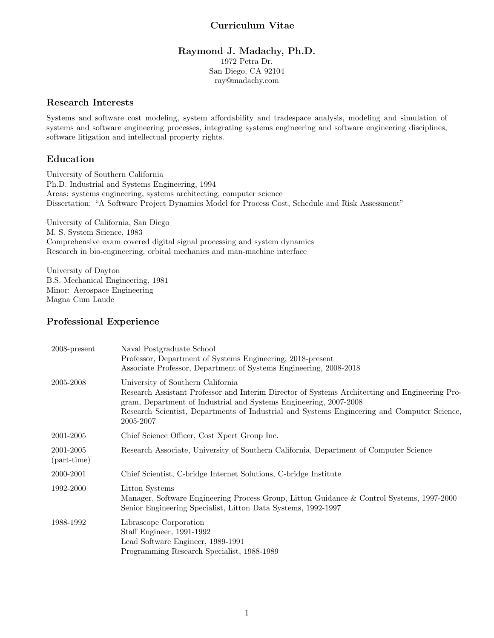# Curriculum Vitae

## Raymond J. Madachy, Ph.D. 1972 Petra Dr. San Diego, CA 92104 ray@madachy.com

## Research Interests

Systems and software cost modeling, system affordability and tradespace analysis, modeling and simulation of systems and software engineering processes, integrating systems engineering and software engineering disciplines, software litigation and intellectual property rights.

# Education

University of Southern California Ph.D. Industrial and Systems Engineering, 1994 Areas: systems engineering, systems architecting, computer science Dissertation: "A Software Project Dynamics Model for Process Cost, Schedule and Risk Assessment"

University of California, San Diego M. S. System Science, 1983 Comprehensive exam covered digital signal processing and system dynamics Research in bio-engineering, orbital mechanics and man-machine interface

University of Dayton B.S. Mechanical Engineering, 1981 Minor: Aerospace Engineering Magna Cum Laude

# Professional Experience

| $2008$ -present                  | Naval Postgraduate School<br>Professor, Department of Systems Engineering, 2018-present<br>Associate Professor, Department of Systems Engineering, 2008-2018                                                                                                                                                         |
|----------------------------------|----------------------------------------------------------------------------------------------------------------------------------------------------------------------------------------------------------------------------------------------------------------------------------------------------------------------|
| 2005-2008                        | University of Southern California<br>Research Assistant Professor and Interim Director of Systems Architecting and Engineering Pro-<br>gram, Department of Industrial and Systems Engineering, 2007-2008<br>Research Scientist, Departments of Industrial and Systems Engineering and Computer Science,<br>2005-2007 |
| 2001-2005                        | Chief Science Officer, Cost Xpert Group Inc.                                                                                                                                                                                                                                                                         |
| 2001-2005<br>${\rm (part-time)}$ | Research Associate, University of Southern California, Department of Computer Science                                                                                                                                                                                                                                |
| 2000-2001                        | Chief Scientist, C-bridge Internet Solutions, C-bridge Institute                                                                                                                                                                                                                                                     |
| 1992-2000                        | Litton Systems<br>Manager, Software Engineering Process Group, Litton Guidance & Control Systems, 1997-2000<br>Senior Engineering Specialist, Litton Data Systems, 1992-1997                                                                                                                                         |
| 1988-1992                        | Librascope Corporation<br>Staff Engineer, 1991-1992<br>Lead Software Engineer, 1989-1991<br>Programming Research Specialist, 1988-1989                                                                                                                                                                               |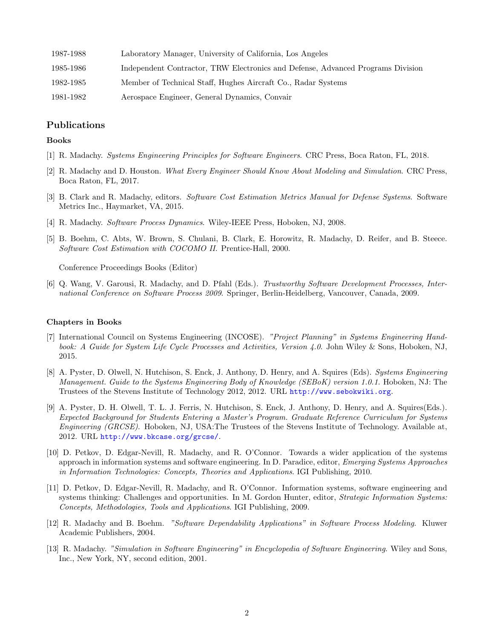| 1987-1988 | Laboratory Manager, University of California, Los Angeles                       |
|-----------|---------------------------------------------------------------------------------|
| 1985-1986 | Independent Contractor, TRW Electronics and Defense, Advanced Programs Division |
| 1982-1985 | Member of Technical Staff, Hughes Aircraft Co., Radar Systems                   |
| 1981-1982 | Aerospace Engineer, General Dynamics, Convair                                   |

### Publications

### Books

- [1] R. Madachy. *Systems Engineering Principles for Software Engineers*. CRC Press, Boca Raton, FL, 2018.
- [2] R. Madachy and D. Houston. *What Every Engineer Should Know About Modeling and Simulation*. CRC Press, Boca Raton, FL, 2017.
- [3] B. Clark and R. Madachy, editors. *Software Cost Estimation Metrics Manual for Defense Systems*. Software Metrics Inc., Haymarket, VA, 2015.
- [4] R. Madachy. *Software Process Dynamics*. Wiley-IEEE Press, Hoboken, NJ, 2008.
- [5] B. Boehm, C. Abts, W. Brown, S. Chulani, B. Clark, E. Horowitz, R. Madachy, D. Reifer, and B. Steece. *Software Cost Estimation with COCOMO II*. Prentice-Hall, 2000.

Conference Proceedings Books (Editor)

[6] Q. Wang, V. Garousi, R. Madachy, and D. Pfahl (Eds.). *Trustworthy Software Development Processes, International Conference on Software Process 2009*. Springer, Berlin-Heidelberg, Vancouver, Canada, 2009.

#### Chapters in Books

- [7] International Council on Systems Engineering (INCOSE). *"Project Planning" in Systems Engineering Handbook: A Guide for System Life Cycle Processes and Activities, Version 4.0*. John Wiley & Sons, Hoboken, NJ, 2015.
- [8] A. Pyster, D. Olwell, N. Hutchison, S. Enck, J. Anthony, D. Henry, and A. Squires (Eds). *Systems Engineering Management. Guide to the Systems Engineering Body of Knowledge (SEBoK) version 1.0.1*. Hoboken, NJ: The Trustees of the Stevens Institute of Technology 2012, 2012. URL <http://www.sebokwiki.org>.
- [9] A. Pyster, D. H. Olwell, T. L. J. Ferris, N. Hutchison, S. Enck, J. Anthony, D. Henry, and A. Squires(Eds.). *Expected Background for Students Entering a Master's Program. Graduate Reference Curriculum for Systems Engineering (GRCSE)*. Hoboken, NJ, USA:The Trustees of the Stevens Institute of Technology. Available at, 2012. URL <http://www.bkcase.org/grcse/>.
- [10] D. Petkov, D. Edgar-Nevill, R. Madachy, and R. O'Connor. Towards a wider application of the systems approach in information systems and software engineering. In D. Paradice, editor, *Emerging Systems Approaches in Information Technologies: Concepts, Theories and Applications*. IGI Publishing, 2010.
- [11] D. Petkov, D. Edgar-Nevill, R. Madachy, and R. O'Connor. Information systems, software engineering and systems thinking: Challenges and opportunities. In M. Gordon Hunter, editor, *Strategic Information Systems: Concepts, Methodologies, Tools and Applications*. IGI Publishing, 2009.
- [12] R. Madachy and B. Boehm. *"Software Dependability Applications" in Software Process Modeling*. Kluwer Academic Publishers, 2004.
- [13] R. Madachy. *"Simulation in Software Engineering" in Encyclopedia of Software Engineering*. Wiley and Sons, Inc., New York, NY, second edition, 2001.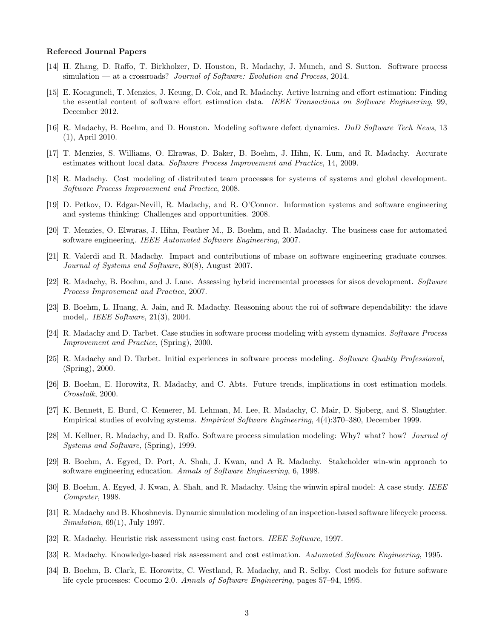#### Refereed Journal Papers

- [14] H. Zhang, D. Raffo, T. Birkholzer, D. Houston, R. Madachy, J. Munch, and S. Sutton. Software process simulation — at a crossroads? *Journal of Software: Evolution and Process*, 2014.
- [15] E. Kocaguneli, T. Menzies, J. Keung, D. Cok, and R. Madachy. Active learning and effort estimation: Finding the essential content of software effort estimation data. *IEEE Transactions on Software Engineering*, 99, December 2012.
- [16] R. Madachy, B. Boehm, and D. Houston. Modeling software defect dynamics. *DoD Software Tech News*, 13 (1), April 2010.
- [17] T. Menzies, S. Williams, O. Elrawas, D. Baker, B. Boehm, J. Hihn, K. Lum, and R. Madachy. Accurate estimates without local data. *Software Process Improvement and Practice*, 14, 2009.
- [18] R. Madachy. Cost modeling of distributed team processes for systems of systems and global development. *Software Process Improvement and Practice*, 2008.
- [19] D. Petkov, D. Edgar-Nevill, R. Madachy, and R. O'Connor. Information systems and software engineering and systems thinking: Challenges and opportunities. 2008.
- [20] T. Menzies, O. Elwaras, J. Hihn, Feather M., B. Boehm, and R. Madachy. The business case for automated software engineering. *IEEE Automated Software Engineering*, 2007.
- [21] R. Valerdi and R. Madachy. Impact and contributions of mbase on software engineering graduate courses. *Journal of Systems and Software*, 80(8), August 2007.
- [22] R. Madachy, B. Boehm, and J. Lane. Assessing hybrid incremental processes for sisos development. *Software Process Improvement and Practice*, 2007.
- [23] B. Boehm, L. Huang, A. Jain, and R. Madachy. Reasoning about the roi of software dependability: the idave model,. *IEEE Software*, 21(3), 2004.
- [24] R. Madachy and D. Tarbet. Case studies in software process modeling with system dynamics. *Software Process Improvement and Practice*, (Spring), 2000.
- [25] R. Madachy and D. Tarbet. Initial experiences in software process modeling. *Software Quality Professional*, (Spring), 2000.
- [26] B. Boehm, E. Horowitz, R. Madachy, and C. Abts. Future trends, implications in cost estimation models. *Crosstalk*, 2000.
- [27] K. Bennett, E. Burd, C. Kemerer, M. Lehman, M. Lee, R. Madachy, C. Mair, D. Sjoberg, and S. Slaughter. Empirical studies of evolving systems. *Empirical Software Engineering*, 4(4):370–380, December 1999.
- [28] M. Kellner, R. Madachy, and D. Raffo. Software process simulation modeling: Why? what? how? *Journal of Systems and Software*, (Spring), 1999.
- [29] B. Boehm, A. Egyed, D. Port, A. Shah, J. Kwan, and A R. Madachy. Stakeholder win-win approach to software engineering education. *Annals of Software Engineering*, 6, 1998.
- [30] B. Boehm, A. Egyed, J. Kwan, A. Shah, and R. Madachy. Using the winwin spiral model: A case study. *IEEE Computer*, 1998.
- [31] R. Madachy and B. Khoshnevis. Dynamic simulation modeling of an inspection-based software lifecycle process. *Simulation*, 69(1), July 1997.
- [32] R. Madachy. Heuristic risk assessment using cost factors. *IEEE Software*, 1997.
- [33] R. Madachy. Knowledge-based risk assessment and cost estimation. *Automated Software Engineering*, 1995.
- [34] B. Boehm, B. Clark, E. Horowitz, C. Westland, R. Madachy, and R. Selby. Cost models for future software life cycle processes: Cocomo 2.0. *Annals of Software Engineering*, pages 57–94, 1995.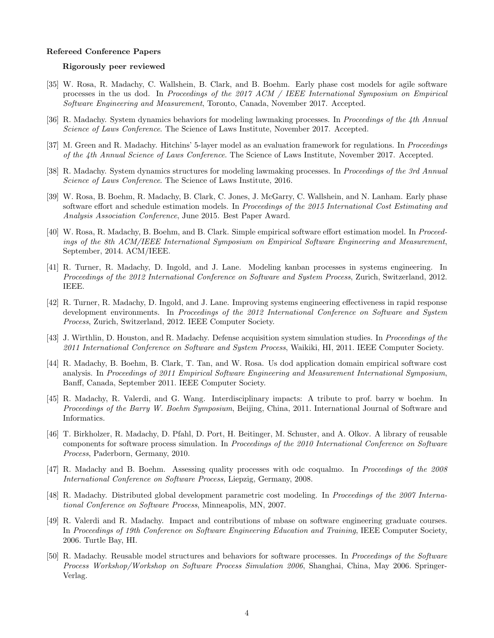### Refereed Conference Papers

### Rigorously peer reviewed

- [35] W. Rosa, R. Madachy, C. Wallshein, B. Clark, and B. Boehm. Early phase cost models for agile software processes in the us dod. In *Proceedings of the 2017 ACM / IEEE International Symposium on Empirical Software Engineering and Measurement*, Toronto, Canada, November 2017. Accepted.
- [36] R. Madachy. System dynamics behaviors for modeling lawmaking processes. In *Proceedings of the 4th Annual Science of Laws Conference*. The Science of Laws Institute, November 2017. Accepted.
- [37] M. Green and R. Madachy. Hitchins' 5-layer model as an evaluation framework for regulations. In *Proceedings of the 4th Annual Science of Laws Conference*. The Science of Laws Institute, November 2017. Accepted.
- [38] R. Madachy. System dynamics structures for modeling lawmaking processes. In *Proceedings of the 3rd Annual Science of Laws Conference*. The Science of Laws Institute, 2016.
- [39] W. Rosa, B. Boehm, R. Madachy, B. Clark, C. Jones, J. McGarry, C. Wallshein, and N. Lanham. Early phase software effort and schedule estimation models. In *Proceedings of the 2015 International Cost Estimating and Analysis Association Conference*, June 2015. Best Paper Award.
- [40] W. Rosa, R. Madachy, B. Boehm, and B. Clark. Simple empirical software effort estimation model. In *Proceedings of the 8th ACM/IEEE International Symposium on Empirical Software Engineering and Measurement*, September, 2014. ACM/IEEE.
- [41] R. Turner, R. Madachy, D. Ingold, and J. Lane. Modeling kanban processes in systems engineering. In *Proceedings of the 2012 International Conference on Software and System Process*, Zurich, Switzerland, 2012. IEEE.
- [42] R. Turner, R. Madachy, D. Ingold, and J. Lane. Improving systems engineering effectiveness in rapid response development environments. In *Proceedings of the 2012 International Conference on Software and System Process*, Zurich, Switzerland, 2012. IEEE Computer Society.
- [43] J. Wirthlin, D. Houston, and R. Madachy. Defense acquisition system simulation studies. In *Proceedings of the 2011 International Conference on Software and System Process*, Waikiki, HI, 2011. IEEE Computer Society.
- [44] R. Madachy, B. Boehm, B. Clark, T. Tan, and W. Rosa. Us dod application domain empirical software cost analysis. In *Proceedings of 2011 Empirical Software Engineering and Measurement International Symposium*, Banff, Canada, September 2011. IEEE Computer Society.
- [45] R. Madachy, R. Valerdi, and G. Wang. Interdisciplinary impacts: A tribute to prof. barry w boehm. In *Proceedings of the Barry W. Boehm Symposium*, Beijing, China, 2011. International Journal of Software and Informatics.
- [46] T. Birkholzer, R. Madachy, D. Pfahl, D. Port, H. Beitinger, M. Schuster, and A. Olkov. A library of reusable components for software process simulation. In *Proceedings of the 2010 International Conference on Software Process*, Paderborn, Germany, 2010.
- [47] R. Madachy and B. Boehm. Assessing quality processes with odc coqualmo. In *Proceedings of the 2008 International Conference on Software Process*, Liepzig, Germany, 2008.
- [48] R. Madachy. Distributed global development parametric cost modeling. In *Proceedings of the 2007 International Conference on Software Process*, Minneapolis, MN, 2007.
- [49] R. Valerdi and R. Madachy. Impact and contributions of mbase on software engineering graduate courses. In *Proceedings of 19th Conference on Software Engineering Education and Training*, IEEE Computer Society, 2006. Turtle Bay, HI.
- [50] R. Madachy. Reusable model structures and behaviors for software processes. In *Proceedings of the Software Process Workshop/Workshop on Software Process Simulation 2006*, Shanghai, China, May 2006. Springer-Verlag.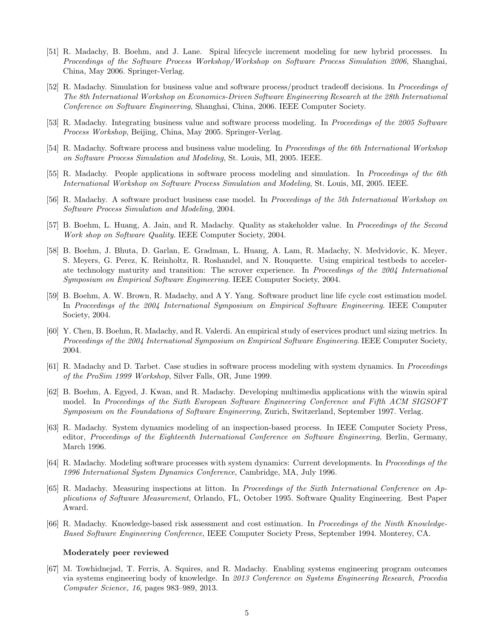- [51] R. Madachy, B. Boehm, and J. Lane. Spiral lifecycle increment modeling for new hybrid processes. In *Proceedings of the Software Process Workshop/Workshop on Software Process Simulation 2006*, Shanghai, China, May 2006. Springer-Verlag.
- [52] R. Madachy. Simulation for business value and software process/product tradeoff decisions. In *Proceedings of The 8th International Workshop on Economics-Driven Software Engineering Research at the 28th International Conference on Software Engineering*, Shanghai, China, 2006. IEEE Computer Society.
- [53] R. Madachy. Integrating business value and software process modeling. In *Proceedings of the 2005 Software Process Workshop*, Beijing, China, May 2005. Springer-Verlag.
- [54] R. Madachy. Software process and business value modeling. In *Proceedings of the 6th International Workshop on Software Process Simulation and Modeling*, St. Louis, MI, 2005. IEEE.
- [55] R. Madachy. People applications in software process modeling and simulation. In *Proceedings of the 6th International Workshop on Software Process Simulation and Modeling*, St. Louis, MI, 2005. IEEE.
- [56] R. Madachy. A software product business case model. In *Proceedings of the 5th International Workshop on Software Process Simulation and Modeling*, 2004.
- [57] B. Boehm, L. Huang, A. Jain, and R. Madachy. Quality as stakeholder value. In *Proceedings of the Second Work shop on Software Quality*. IEEE Computer Society, 2004.
- [58] B. Boehm, J. Bhuta, D. Garlan, E. Gradman, L. Huang, A. Lam, R. Madachy, N. Medvidovic, K. Meyer, S. Meyers, G. Perez, K. Reinholtz, R. Roshandel, and N. Rouquette. Using empirical testbeds to accelerate technology maturity and transition: The scrover experience. In *Proceedings of the 2004 International Symposium on Empirical Software Engineering*. IEEE Computer Society, 2004.
- [59] B. Boehm, A. W. Brown, R. Madachy, and A Y. Yang. Software product line life cycle cost estimation model. In *Proceedings of the 2004 International Symposium on Empirical Software Engineering*. IEEE Computer Society, 2004.
- [60] Y. Chen, B. Boehm, R. Madachy, and R. Valerdi. An empirical study of eservices product uml sizing metrics. In *Proceedings of the 2004 International Symposium on Empirical Software Engineering*. IEEE Computer Society, 2004.
- [61] R. Madachy and D. Tarbet. Case studies in software process modeling with system dynamics. In *Proceedings of the ProSim 1999 Workshop*, Silver Falls, OR, June 1999.
- [62] B. Boehm, A. Egyed, J. Kwan, and R. Madachy. Developing multimedia applications with the winwin spiral model. In *Proceedings of the Sixth European Software Engineering Conference and Fifth ACM SIGSOFT Symposium on the Foundations of Software Engineering*, Zurich, Switzerland, September 1997. Verlag.
- [63] R. Madachy. System dynamics modeling of an inspection-based process. In IEEE Computer Society Press, editor, *Proceedings of the Eighteenth International Conference on Software Engineering*, Berlin, Germany, March 1996.
- [64] R. Madachy. Modeling software processes with system dynamics: Current developments. In *Proceedings of the 1996 International System Dynamics Conference*, Cambridge, MA, July 1996.
- [65] R. Madachy. Measuring inspections at litton. In *Proceedings of the Sixth International Conference on Applications of Software Measurement*, Orlando, FL, October 1995. Software Quality Engineering. Best Paper Award.
- [66] R. Madachy. Knowledge-based risk assessment and cost estimation. In *Proceedings of the Ninth Knowledge-Based Software Engineering Conference*, IEEE Computer Society Press, September 1994. Monterey, CA.

### Moderately peer reviewed

[67] M. Towhidnejad, T. Ferris, A. Squires, and R. Madachy. Enabling systems engineering program outcomes via systems engineering body of knowledge. In *2013 Conference on Systems Engineering Research, Procedia Computer Science, 16*, pages 983–989, 2013.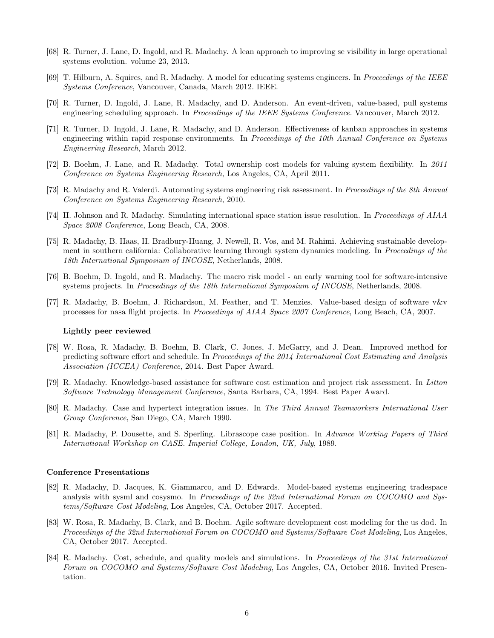- [68] R. Turner, J. Lane, D. Ingold, and R. Madachy. A lean approach to improving se visibility in large operational systems evolution. volume 23, 2013.
- [69] T. Hilburn, A. Squires, and R. Madachy. A model for educating systems engineers. In *Proceedings of the IEEE Systems Conference*, Vancouver, Canada, March 2012. IEEE.
- [70] R. Turner, D. Ingold, J. Lane, R. Madachy, and D. Anderson. An event-driven, value-based, pull systems engineering scheduling approach. In *Proceedings of the IEEE Systems Conference*. Vancouver, March 2012.
- [71] R. Turner, D. Ingold, J. Lane, R. Madachy, and D. Anderson. Effectiveness of kanban approaches in systems engineering within rapid response environments. In *Proceedings of the 10th Annual Conference on Systems Engineering Research*, March 2012.
- [72] B. Boehm, J. Lane, and R. Madachy. Total ownership cost models for valuing system flexibility. In *2011 Conference on Systems Engineering Research*, Los Angeles, CA, April 2011.
- [73] R. Madachy and R. Valerdi. Automating systems engineering risk assessment. In *Proceedings of the 8th Annual Conference on Systems Engineering Research*, 2010.
- [74] H. Johnson and R. Madachy. Simulating international space station issue resolution. In *Proceedings of AIAA Space 2008 Conference*, Long Beach, CA, 2008.
- [75] R. Madachy, B. Haas, H. Bradbury-Huang, J. Newell, R. Vos, and M. Rahimi. Achieving sustainable development in southern california: Collaborative learning through system dynamics modeling. In *Proceedings of the 18th International Symposium of INCOSE*, Netherlands, 2008.
- [76] B. Boehm, D. Ingold, and R. Madachy. The macro risk model an early warning tool for software-intensive systems projects. In *Proceedings of the 18th International Symposium of INCOSE*, Netherlands, 2008.
- [77] R. Madachy, B. Boehm, J. Richardson, M. Feather, and T. Menzies. Value-based design of software v&v processes for nasa flight projects. In *Proceedings of AIAA Space 2007 Conference*, Long Beach, CA, 2007.

### Lightly peer reviewed

- [78] W. Rosa, R. Madachy, B. Boehm, B. Clark, C. Jones, J. McGarry, and J. Dean. Improved method for predicting software effort and schedule. In *Proceedings of the 2014 International Cost Estimating and Analysis Association (ICCEA) Conference*, 2014. Best Paper Award.
- [79] R. Madachy. Knowledge-based assistance for software cost estimation and project risk assessment. In *Litton Software Technology Management Conference*, Santa Barbara, CA, 1994. Best Paper Award.
- [80] R. Madachy. Case and hypertext integration issues. In *The Third Annual Teamworkers International User Group Conference*, San Diego, CA, March 1990.
- [81] R. Madachy, P. Dousette, and S. Sperling. Librascope case position. In *Advance Working Papers of Third International Workshop on CASE. Imperial College, London, UK, July*, 1989.

#### Conference Presentations

- [82] R. Madachy, D. Jacques, K. Giammarco, and D. Edwards. Model-based systems engineering tradespace analysis with sysml and cosysmo. In *Proceedings of the 32nd International Forum on COCOMO and Systems/Software Cost Modeling*, Los Angeles, CA, October 2017. Accepted.
- [83] W. Rosa, R. Madachy, B. Clark, and B. Boehm. Agile software development cost modeling for the us dod. In *Proceedings of the 32nd International Forum on COCOMO and Systems/Software Cost Modeling*, Los Angeles, CA, October 2017. Accepted.
- [84] R. Madachy. Cost, schedule, and quality models and simulations. In *Proceedings of the 31st International Forum on COCOMO and Systems/Software Cost Modeling*, Los Angeles, CA, October 2016. Invited Presentation.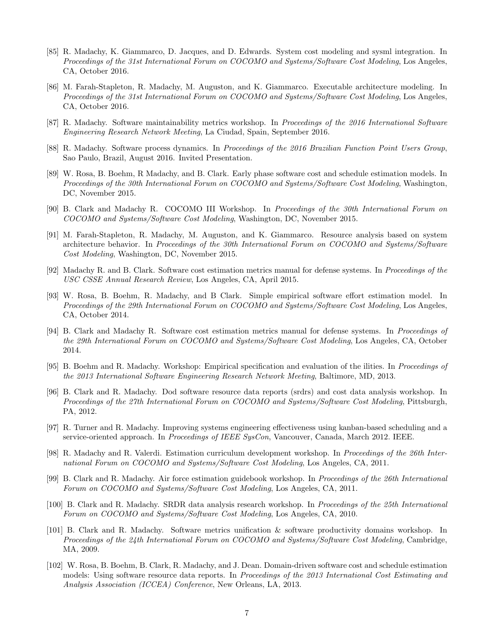- [85] R. Madachy, K. Giammarco, D. Jacques, and D. Edwards. System cost modeling and sysml integration. In *Proceedings of the 31st International Forum on COCOMO and Systems/Software Cost Modeling*, Los Angeles, CA, October 2016.
- [86] M. Farah-Stapleton, R. Madachy, M. Auguston, and K. Giammarco. Executable architecture modeling. In *Proceedings of the 31st International Forum on COCOMO and Systems/Software Cost Modeling*, Los Angeles, CA, October 2016.
- [87] R. Madachy. Software maintainability metrics workshop. In *Proceedings of the 2016 International Software Engineering Research Network Meeting*, La Ciudad, Spain, September 2016.
- [88] R. Madachy. Software process dynamics. In *Proceedings of the 2016 Brazilian Function Point Users Group*, Sao Paulo, Brazil, August 2016. Invited Presentation.
- [89] W. Rosa, B. Boehm, R Madachy, and B. Clark. Early phase software cost and schedule estimation models. In *Proceedings of the 30th International Forum on COCOMO and Systems/Software Cost Modeling*, Washington, DC, November 2015.
- [90] B. Clark and Madachy R. COCOMO III Workshop. In *Proceedings of the 30th International Forum on COCOMO and Systems/Software Cost Modeling*, Washington, DC, November 2015.
- [91] M. Farah-Stapleton, R. Madachy, M. Auguston, and K. Giammarco. Resource analysis based on system architecture behavior. In *Proceedings of the 30th International Forum on COCOMO and Systems/Software Cost Modeling*, Washington, DC, November 2015.
- [92] Madachy R. and B. Clark. Software cost estimation metrics manual for defense systems. In *Proceedings of the USC CSSE Annual Research Review*, Los Angeles, CA, April 2015.
- [93] W. Rosa, B. Boehm, R. Madachy, and B Clark. Simple empirical software effort estimation model. In *Proceedings of the 29th International Forum on COCOMO and Systems/Software Cost Modeling*, Los Angeles, CA, October 2014.
- [94] B. Clark and Madachy R. Software cost estimation metrics manual for defense systems. In *Proceedings of the 29th International Forum on COCOMO and Systems/Software Cost Modeling*, Los Angeles, CA, October 2014.
- [95] B. Boehm and R. Madachy. Workshop: Empirical specification and evaluation of the ilities. In *Proceedings of the 2013 International Software Engineering Research Network Meeting*, Baltimore, MD, 2013.
- [96] B. Clark and R. Madachy. Dod software resource data reports (srdrs) and cost data analysis workshop. In *Proceedings of the 27th International Forum on COCOMO and Systems/Software Cost Modeling*, Pittsburgh, PA, 2012.
- [97] R. Turner and R. Madachy. Improving systems engineering effectiveness using kanban-based scheduling and a service-oriented approach. In *Proceedings of IEEE SysCon*, Vancouver, Canada, March 2012. IEEE.
- [98] R. Madachy and R. Valerdi. Estimation curriculum development workshop. In *Proceedings of the 26th International Forum on COCOMO and Systems/Software Cost Modeling*, Los Angeles, CA, 2011.
- [99] B. Clark and R. Madachy. Air force estimation guidebook workshop. In *Proceedings of the 26th International Forum on COCOMO and Systems/Software Cost Modeling*, Los Angeles, CA, 2011.
- [100] B. Clark and R. Madachy. SRDR data analysis research workshop. In *Proceedings of the 25th International Forum on COCOMO and Systems/Software Cost Modeling*, Los Angeles, CA, 2010.
- [101] B. Clark and R. Madachy. Software metrics unification & software productivity domains workshop. In *Proceedings of the 24th International Forum on COCOMO and Systems/Software Cost Modeling*, Cambridge, MA, 2009.
- [102] W. Rosa, B. Boehm, B. Clark, R. Madachy, and J. Dean. Domain-driven software cost and schedule estimation models: Using software resource data reports. In *Proceedings of the 2013 International Cost Estimating and Analysis Association (ICCEA) Conference*, New Orleans, LA, 2013.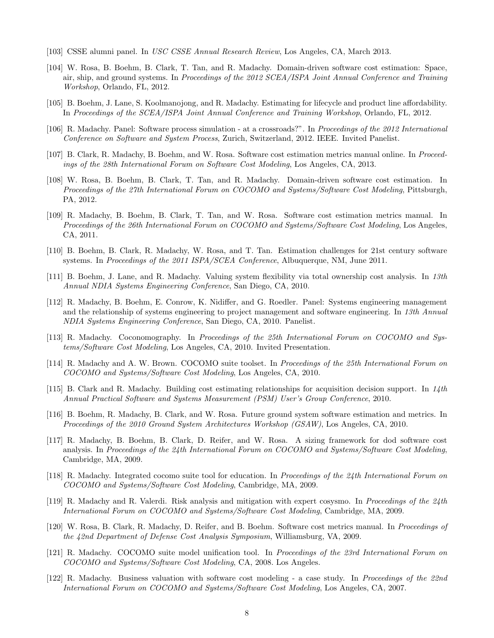- [103] CSSE alumni panel. In *USC CSSE Annual Research Review*, Los Angeles, CA, March 2013.
- [104] W. Rosa, B. Boehm, B. Clark, T. Tan, and R. Madachy. Domain-driven software cost estimation: Space, air, ship, and ground systems. In *Proceedings of the 2012 SCEA/ISPA Joint Annual Conference and Training Workshop*, Orlando, FL, 2012.
- [105] B. Boehm, J. Lane, S. Koolmanojong, and R. Madachy. Estimating for lifecycle and product line affordability. In *Proceedings of the SCEA/ISPA Joint Annual Conference and Training Workshop*, Orlando, FL, 2012.
- [106] R. Madachy. Panel: Software process simulation at a crossroads?". In *Proceedings of the 2012 International Conference on Software and System Process*, Zurich, Switzerland, 2012. IEEE. Invited Panelist.
- [107] B. Clark, R. Madachy, B. Boehm, and W. Rosa. Software cost estimation metrics manual online. In *Proceedings of the 28th International Forum on Software Cost Modeling*, Los Angeles, CA, 2013.
- [108] W. Rosa, B. Boehm, B. Clark, T. Tan, and R. Madachy. Domain-driven software cost estimation. In *Proceedings of the 27th International Forum on COCOMO and Systems/Software Cost Modeling*, Pittsburgh, PA, 2012.
- [109] R. Madachy, B. Boehm, B. Clark, T. Tan, and W. Rosa. Software cost estimation metrics manual. In *Proceedings of the 26th International Forum on COCOMO and Systems/Software Cost Modeling*, Los Angeles, CA, 2011.
- [110] B. Boehm, B. Clark, R. Madachy, W. Rosa, and T. Tan. Estimation challenges for 21st century software systems. In *Proceedings of the 2011 ISPA/SCEA Conference*, Albuquerque, NM, June 2011.
- [111] B. Boehm, J. Lane, and R. Madachy. Valuing system flexibility via total ownership cost analysis. In *13th Annual NDIA Systems Engineering Conference*, San Diego, CA, 2010.
- [112] R. Madachy, B. Boehm, E. Conrow, K. Nidiffer, and G. Roedler. Panel: Systems engineering management and the relationship of systems engineering to project management and software engineering. In *13th Annual NDIA Systems Engineering Conference*, San Diego, CA, 2010. Panelist.
- [113] R. Madachy. Coconomography. In *Proceedings of the 25th International Forum on COCOMO and Systems/Software Cost Modeling*, Los Angeles, CA, 2010. Invited Presentation.
- [114] R. Madachy and A. W. Brown. COCOMO suite toolset. In *Proceedings of the 25th International Forum on COCOMO and Systems/Software Cost Modeling*, Los Angeles, CA, 2010.
- [115] B. Clark and R. Madachy. Building cost estimating relationships for acquisition decision support. In *14th Annual Practical Software and Systems Measurement (PSM) User's Group Conference*, 2010.
- [116] B. Boehm, R. Madachy, B. Clark, and W. Rosa. Future ground system software estimation and metrics. In *Proceedings of the 2010 Ground System Architectures Workshop (GSAW)*, Los Angeles, CA, 2010.
- [117] R. Madachy, B. Boehm, B. Clark, D. Reifer, and W. Rosa. A sizing framework for dod software cost analysis. In *Proceedings of the 24th International Forum on COCOMO and Systems/Software Cost Modeling*, Cambridge, MA, 2009.
- [118] R. Madachy. Integrated cocomo suite tool for education. In *Proceedings of the 24th International Forum on COCOMO and Systems/Software Cost Modeling*, Cambridge, MA, 2009.
- [119] R. Madachy and R. Valerdi. Risk analysis and mitigation with expert cosysmo. In *Proceedings of the 24th International Forum on COCOMO and Systems/Software Cost Modeling*, Cambridge, MA, 2009.
- [120] W. Rosa, B. Clark, R. Madachy, D. Reifer, and B. Boehm. Software cost metrics manual. In *Proceedings of the 42nd Department of Defense Cost Analysis Symposium*, Williamsburg, VA, 2009.
- [121] R. Madachy. COCOMO suite model unification tool. In *Proceedings of the 23rd International Forum on COCOMO and Systems/Software Cost Modeling*, CA, 2008. Los Angeles.
- [122] R. Madachy. Business valuation with software cost modeling a case study. In *Proceedings of the 22nd International Forum on COCOMO and Systems/Software Cost Modeling*, Los Angeles, CA, 2007.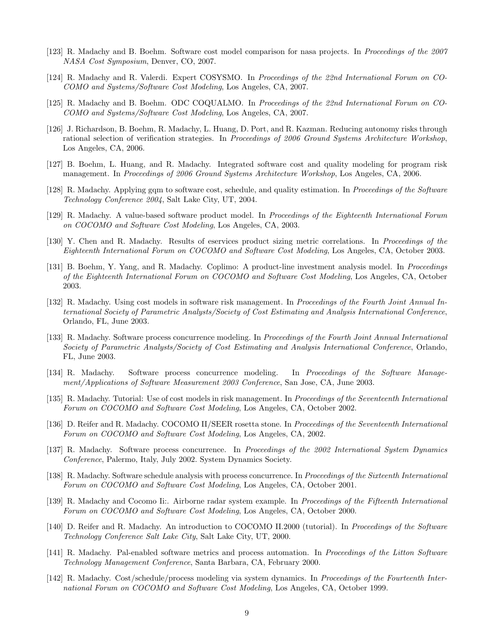- [123] R. Madachy and B. Boehm. Software cost model comparison for nasa projects. In *Proceedings of the 2007 NASA Cost Symposium*, Denver, CO, 2007.
- [124] R. Madachy and R. Valerdi. Expert COSYSMO. In *Proceedings of the 22nd International Forum on CO-COMO and Systems/Software Cost Modeling*, Los Angeles, CA, 2007.
- [125] R. Madachy and B. Boehm. ODC COQUALMO. In *Proceedings of the 22nd International Forum on CO-COMO and Systems/Software Cost Modeling*, Los Angeles, CA, 2007.
- [126] J. Richardson, B. Boehm, R. Madachy, L. Huang, D. Port, and R. Kazman. Reducing autonomy risks through rational selection of verification strategies. In *Proceedings of 2006 Ground Systems Architecture Workshop*, Los Angeles, CA, 2006.
- [127] B. Boehm, L. Huang, and R. Madachy. Integrated software cost and quality modeling for program risk management. In *Proceedings of 2006 Ground Systems Architecture Workshop*, Los Angeles, CA, 2006.
- [128] R. Madachy. Applying gqm to software cost, schedule, and quality estimation. In *Proceedings of the Software Technology Conference 2004*, Salt Lake City, UT, 2004.
- [129] R. Madachy. A value-based software product model. In *Proceedings of the Eighteenth International Forum on COCOMO and Software Cost Modeling*, Los Angeles, CA, 2003.
- [130] Y. Chen and R. Madachy. Results of eservices product sizing metric correlations. In *Proceedings of the Eighteenth International Forum on COCOMO and Software Cost Modeling*, Los Angeles, CA, October 2003.
- [131] B. Boehm, Y. Yang, and R. Madachy. Coplimo: A product-line investment analysis model. In *Proceedings of the Eighteenth International Forum on COCOMO and Software Cost Modeling*, Los Angeles, CA, October 2003.
- [132] R. Madachy. Using cost models in software risk management. In *Proceedings of the Fourth Joint Annual International Society of Parametric Analysts/Society of Cost Estimating and Analysis International Conference*, Orlando, FL, June 2003.
- [133] R. Madachy. Software process concurrence modeling. In *Proceedings of the Fourth Joint Annual International Society of Parametric Analysts/Society of Cost Estimating and Analysis International Conference*, Orlando, FL, June 2003.
- [134] R. Madachy. Software process concurrence modeling. In *Proceedings of the Software Management/Applications of Software Measurement 2003 Conference*, San Jose, CA, June 2003.
- [135] R. Madachy. Tutorial: Use of cost models in risk management. In *Proceedings of the Seventeenth International Forum on COCOMO and Software Cost Modeling*, Los Angeles, CA, October 2002.
- [136] D. Reifer and R. Madachy. COCOMO II/SEER rosetta stone. In *Proceedings of the Seventeenth International Forum on COCOMO and Software Cost Modeling*, Los Angeles, CA, 2002.
- [137] R. Madachy. Software process concurrence. In *Proceedings of the 2002 International System Dynamics Conference*, Palermo, Italy, July 2002. System Dynamics Society.
- [138] R. Madachy. Software schedule analysis with process concurrence. In *Proceedings of the Sixteenth International Forum on COCOMO and Software Cost Modeling*, Los Angeles, CA, October 2001.
- [139] R. Madachy and Cocomo Ii:. Airborne radar system example. In *Proceedings of the Fifteenth International Forum on COCOMO and Software Cost Modeling*, Los Angeles, CA, October 2000.
- [140] D. Reifer and R. Madachy. An introduction to COCOMO II.2000 (tutorial). In *Proceedings of the Software Technology Conference Salt Lake City*, Salt Lake City, UT, 2000.
- [141] R. Madachy. Pal-enabled software metrics and process automation. In *Proceedings of the Litton Software Technology Management Conference*, Santa Barbara, CA, February 2000.
- [142] R. Madachy. Cost/schedule/process modeling via system dynamics. In *Proceedings of the Fourteenth International Forum on COCOMO and Software Cost Modeling*, Los Angeles, CA, October 1999.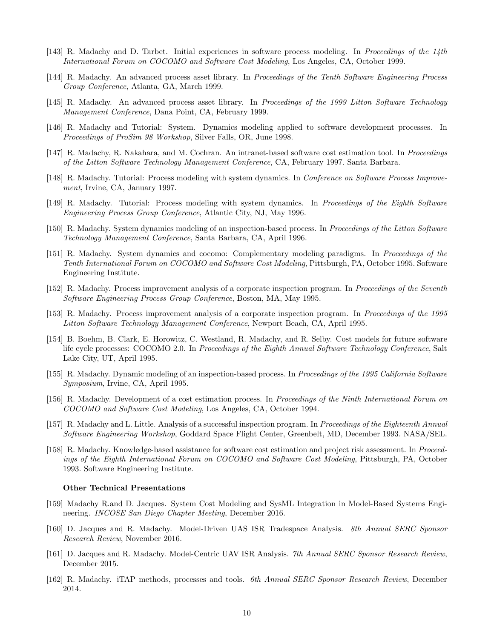- [143] R. Madachy and D. Tarbet. Initial experiences in software process modeling. In *Proceedings of the 14th International Forum on COCOMO and Software Cost Modeling*, Los Angeles, CA, October 1999.
- [144] R. Madachy. An advanced process asset library. In *Proceedings of the Tenth Software Engineering Process Group Conference*, Atlanta, GA, March 1999.
- [145] R. Madachy. An advanced process asset library. In *Proceedings of the 1999 Litton Software Technology Management Conference*, Dana Point, CA, February 1999.
- [146] R. Madachy and Tutorial: System. Dynamics modeling applied to software development processes. In *Proceedings of ProSim 98 Workshop*, Silver Falls, OR, June 1998.
- [147] R. Madachy, R. Nakahara, and M. Cochran. An intranet-based software cost estimation tool. In *Proceedings of the Litton Software Technology Management Conference*, CA, February 1997. Santa Barbara.
- [148] R. Madachy. Tutorial: Process modeling with system dynamics. In *Conference on Software Process Improvement*, Irvine, CA, January 1997.
- [149] R. Madachy. Tutorial: Process modeling with system dynamics. In *Proceedings of the Eighth Software Engineering Process Group Conference*, Atlantic City, NJ, May 1996.
- [150] R. Madachy. System dynamics modeling of an inspection-based process. In *Proceedings of the Litton Software Technology Management Conference*, Santa Barbara, CA, April 1996.
- [151] R. Madachy. System dynamics and cocomo: Complementary modeling paradigms. In *Proceedings of the Tenth International Forum on COCOMO and Software Cost Modeling*, Pittsburgh, PA, October 1995. Software Engineering Institute.
- [152] R. Madachy. Process improvement analysis of a corporate inspection program. In *Proceedings of the Seventh Software Engineering Process Group Conference*, Boston, MA, May 1995.
- [153] R. Madachy. Process improvement analysis of a corporate inspection program. In *Proceedings of the 1995 Litton Software Technology Management Conference*, Newport Beach, CA, April 1995.
- [154] B. Boehm, B. Clark, E. Horowitz, C. Westland, R. Madachy, and R. Selby. Cost models for future software life cycle processes: COCOMO 2.0. In *Proceedings of the Eighth Annual Software Technology Conference*, Salt Lake City, UT, April 1995.
- [155] R. Madachy. Dynamic modeling of an inspection-based process. In *Proceedings of the 1995 California Software Symposium*, Irvine, CA, April 1995.
- [156] R. Madachy. Development of a cost estimation process. In *Proceedings of the Ninth International Forum on COCOMO and Software Cost Modeling*, Los Angeles, CA, October 1994.
- [157] R. Madachy and L. Little. Analysis of a successful inspection program. In *Proceedings of the Eighteenth Annual Software Engineering Workshop*, Goddard Space Flight Center, Greenbelt, MD, December 1993. NASA/SEL.
- [158] R. Madachy. Knowledge-based assistance for software cost estimation and project risk assessment. In *Proceedings of the Eighth International Forum on COCOMO and Software Cost Modeling*, Pittsburgh, PA, October 1993. Software Engineering Institute.

#### Other Technical Presentations

- [159] Madachy R.and D. Jacques. System Cost Modeling and SysML Integration in Model-Based Systems Engineering. *INCOSE San Diego Chapter Meeting*, December 2016.
- [160] D. Jacques and R. Madachy. Model-Driven UAS ISR Tradespace Analysis. *8th Annual SERC Sponsor Research Review*, November 2016.
- [161] D. Jacques and R. Madachy. Model-Centric UAV ISR Analysis. *7th Annual SERC Sponsor Research Review*, December 2015.
- [162] R. Madachy. iTAP methods, processes and tools. *6th Annual SERC Sponsor Research Review*, December 2014.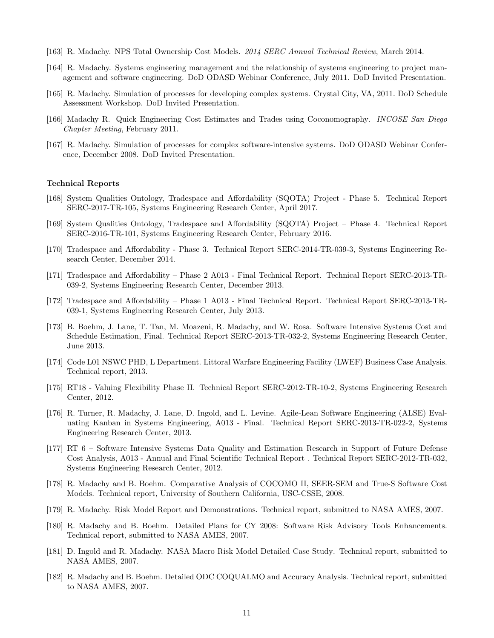- [163] R. Madachy. NPS Total Ownership Cost Models. *2014 SERC Annual Technical Review*, March 2014.
- [164] R. Madachy. Systems engineering management and the relationship of systems engineering to project management and software engineering. DoD ODASD Webinar Conference, July 2011. DoD Invited Presentation.
- [165] R. Madachy. Simulation of processes for developing complex systems. Crystal City, VA, 2011. DoD Schedule Assessment Workshop. DoD Invited Presentation.
- [166] Madachy R. Quick Engineering Cost Estimates and Trades using Coconomography. *INCOSE San Diego Chapter Meeting*, February 2011.
- [167] R. Madachy. Simulation of processes for complex software-intensive systems. DoD ODASD Webinar Conference, December 2008. DoD Invited Presentation.

#### Technical Reports

- [168] System Qualities Ontology, Tradespace and Affordability (SQOTA) Project Phase 5. Technical Report SERC-2017-TR-105, Systems Engineering Research Center, April 2017.
- [169] System Qualities Ontology, Tradespace and A↵ordability (SQOTA) Project Phase 4. Technical Report SERC-2016-TR-101, Systems Engineering Research Center, February 2016.
- [170] Tradespace and Affordability Phase 3. Technical Report SERC-2014-TR-039-3, Systems Engineering Research Center, December 2014.
- [171] Tradespace and Affordability Phase 2 A013 Final Technical Report. Technical Report SERC-2013-TR-039-2, Systems Engineering Research Center, December 2013.
- [172] Tradespace and Affordability Phase 1 A013 Final Technical Report. Technical Report SERC-2013-TR-039-1, Systems Engineering Research Center, July 2013.
- [173] B. Boehm, J. Lane, T. Tan, M. Moazeni, R. Madachy, and W. Rosa. Software Intensive Systems Cost and Schedule Estimation, Final. Technical Report SERC-2013-TR-032-2, Systems Engineering Research Center, June 2013.
- [174] Code L01 NSWC PHD, L Department. Littoral Warfare Engineering Facility (LWEF) Business Case Analysis. Technical report, 2013.
- [175] RT18 Valuing Flexibility Phase II. Technical Report SERC-2012-TR-10-2, Systems Engineering Research Center, 2012.
- [176] R. Turner, R. Madachy, J. Lane, D. Ingold, and L. Levine. Agile-Lean Software Engineering (ALSE) Evaluating Kanban in Systems Engineering, A013 - Final. Technical Report SERC-2013-TR-022-2, Systems Engineering Research Center, 2013.
- [177] RT 6 Software Intensive Systems Data Quality and Estimation Research in Support of Future Defense Cost Analysis, A013 - Annual and Final Scientific Technical Report . Technical Report SERC-2012-TR-032, Systems Engineering Research Center, 2012.
- [178] R. Madachy and B. Boehm. Comparative Analysis of COCOMO II, SEER-SEM and True-S Software Cost Models. Technical report, University of Southern California, USC-CSSE, 2008.
- [179] R. Madachy. Risk Model Report and Demonstrations. Technical report, submitted to NASA AMES, 2007.
- [180] R. Madachy and B. Boehm. Detailed Plans for CY 2008: Software Risk Advisory Tools Enhancements. Technical report, submitted to NASA AMES, 2007.
- [181] D. Ingold and R. Madachy. NASA Macro Risk Model Detailed Case Study. Technical report, submitted to NASA AMES, 2007.
- [182] R. Madachy and B. Boehm. Detailed ODC COQUALMO and Accuracy Analysis. Technical report, submitted to NASA AMES, 2007.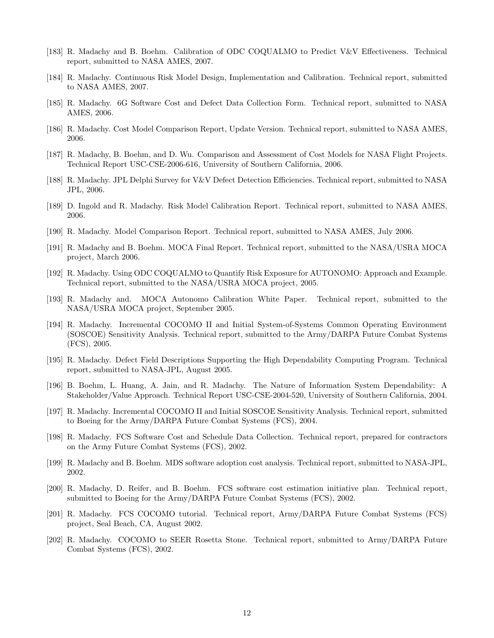- [183] R. Madachy and B. Boehm. Calibration of ODC COQUALMO to Predict V&V Effectiveness. Technical report, submitted to NASA AMES, 2007.
- [184] R. Madachy. Continuous Risk Model Design, Implementation and Calibration. Technical report, submitted to NASA AMES, 2007.
- [185] R. Madachy. 6G Software Cost and Defect Data Collection Form. Technical report, submitted to NASA AMES, 2006.
- [186] R. Madachy. Cost Model Comparison Report, Update Version. Technical report, submitted to NASA AMES, 2006.
- [187] R. Madachy, B. Boehm, and D. Wu. Comparison and Assessment of Cost Models for NASA Flight Projects. Technical Report USC-CSE-2006-616, University of Southern California, 2006.
- [188] R. Madachy. JPL Delphi Survey for V&V Defect Detection Efficiencies. Technical report, submitted to NASA JPL, 2006.
- [189] D. Ingold and R. Madachy. Risk Model Calibration Report. Technical report, submitted to NASA AMES, 2006.
- [190] R. Madachy. Model Comparison Report. Technical report, submitted to NASA AMES, July 2006.
- [191] R. Madachy and B. Boehm. MOCA Final Report. Technical report, submitted to the NASA/USRA MOCA project, March 2006.
- [192] R. Madachy. Using ODC COQUALMO to Quantify Risk Exposure for AUTONOMO: Approach and Example. Technical report, submitted to the NASA/USRA MOCA project, 2005.
- [193] R. Madachy and. MOCA Autonomo Calibration White Paper. Technical report, submitted to the NASA/USRA MOCA project, September 2005.
- [194] R. Madachy. Incremental COCOMO II and Initial System-of-Systems Common Operating Environment (SOSCOE) Sensitivity Analysis. Technical report, submitted to the Army/DARPA Future Combat Systems (FCS), 2005.
- [195] R. Madachy. Defect Field Descriptions Supporting the High Dependability Computing Program. Technical report, submitted to NASA-JPL, August 2005.
- [196] B. Boehm, L. Huang, A. Jain, and R. Madachy. The Nature of Information System Dependability: A Stakeholder/Value Approach. Technical Report USC-CSE-2004-520, University of Southern California, 2004.
- [197] R. Madachy. Incremental COCOMO II and Initial SOSCOE Sensitivity Analysis. Technical report, submitted to Boeing for the Army/DARPA Future Combat Systems (FCS), 2004.
- [198] R. Madachy. FCS Software Cost and Schedule Data Collection. Technical report, prepared for contractors on the Army Future Combat Systems (FCS), 2002.
- [199] R. Madachy and B. Boehm. MDS software adoption cost analysis. Technical report, submitted to NASA-JPL, 2002.
- [200] R. Madachy, D. Reifer, and B. Boehm. FCS software cost estimation initiative plan. Technical report, submitted to Boeing for the Army/DARPA Future Combat Systems (FCS), 2002.
- [201] R. Madachy. FCS COCOMO tutorial. Technical report, Army/DARPA Future Combat Systems (FCS) project, Seal Beach, CA, August 2002.
- [202] R. Madachy. COCOMO to SEER Rosetta Stone. Technical report, submitted to Army/DARPA Future Combat Systems (FCS), 2002.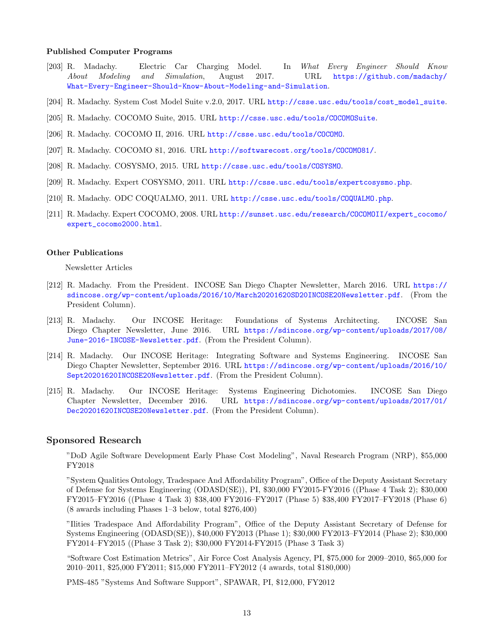### Published Computer Programs

- [203] R. Madachy. Electric Car Charging Model. In *What Every Engineer Should Know About Modeling and Simulation*, August 2017. URL [https://github.com/madachy/](https://github.com/madachy/What-Every-Engineer-Should-Know-About-Modeling-and-Simulation) [What-Every-Engineer-Should-Know-About-Modeling-and-Simulation](https://github.com/madachy/What-Every-Engineer-Should-Know-About-Modeling-and-Simulation).
- [204] R. Madachy. System Cost Model Suite v.2.0, 2017. URL [http://csse.usc.edu/tools/cost\\_model\\_suite](http://csse.usc.edu/tools/cost_model_suite).
- [205] R. Madachy. COCOMO Suite, 2015. URL <http://csse.usc.edu/tools/COCOMOSuite>.
- [206] R. Madachy. COCOMO II, 2016. URL <http://csse.usc.edu/tools/COCOMO>.
- [207] R. Madachy. COCOMO 81, 2016. URL <http://softwarecost.org/tools/COCOMO81/>.
- [208] R. Madachy. COSYSMO, 2015. URL <http://csse.usc.edu/tools/COSYSMO>.
- [209] R. Madachy. Expert COSYSMO, 2011. URL <http://csse.usc.edu/tools/expertcosysmo.php>.
- [210] R. Madachy. ODC COQUALMO, 2011. URL <http://csse.usc.edu/tools/COQUALMO.php>.
- [211] R. Madachy. Expert COCOMO, 2008. URL [http://sunset.usc.edu/research/COCOMOII/expert\\_cocomo/](http://sunset.usc.edu/research/COCOMOII/expert_cocomo/expert_cocomo2000.html) [expert\\_cocomo2000.html](http://sunset.usc.edu/research/COCOMOII/expert_cocomo/expert_cocomo2000.html).

### Other Publications

Newsletter Articles

- [212] R. Madachy. From the President. INCOSE San Diego Chapter Newsletter, March 2016. URL [https://](https://sdincose.org/wp-content/uploads/2016/10/March20201620SD20INCOSE20Newsletter.pdf) [sdincose.org/wp-content/uploads/2016/10/March20201620SD20INCOSE20Newsletter.pdf](https://sdincose.org/wp-content/uploads/2016/10/March20201620SD20INCOSE20Newsletter.pdf). (From the President Column).
- [213] R. Madachy. Our INCOSE Heritage: Foundations of Systems Architecting. INCOSE San Diego Chapter Newsletter, June 2016. URL [https://sdincose.org/wp-content/uploads/2017/08/](https://sdincose.org/wp-content/uploads/2017/08/June-2016-INCOSE-Newsletter.pdf) [June-2016-INCOSE-Newsletter.pdf](https://sdincose.org/wp-content/uploads/2017/08/June-2016-INCOSE-Newsletter.pdf). (From the President Column).
- [214] R. Madachy. Our INCOSE Heritage: Integrating Software and Systems Engineering. INCOSE San Diego Chapter Newsletter, September 2016. URL [https://sdincose.org/wp-content/uploads/2016/10/](https://sdincose.org/wp-content/uploads/2016/10/Sept20201620INCOSE20Newsletter.pdf) [Sept20201620INCOSE20Newsletter.pdf](https://sdincose.org/wp-content/uploads/2016/10/Sept20201620INCOSE20Newsletter.pdf). (From the President Column).
- [215] R. Madachy. Our INCOSE Heritage: Systems Engineering Dichotomies. INCOSE San Diego Chapter Newsletter, December 2016. URL [https://sdincose.org/wp-content/uploads/2017/01/](https://sdincose.org/wp-content/uploads/2017/01/Dec20201620INCOSE20Newsletter.pdf) [Dec20201620INCOSE20Newsletter.pdf](https://sdincose.org/wp-content/uploads/2017/01/Dec20201620INCOSE20Newsletter.pdf). (From the President Column).

### Sponsored Research

"DoD Agile Software Development Early Phase Cost Modeling", Naval Research Program (NRP), \$55,000 FY2018

"System Qualities Ontology, Tradespace And Affordability Program", Office of the Deputy Assistant Secretary of Defense for Systems Engineering (ODASD(SE)), PI, \$30,000 FY2015-FY2016 ((Phase 4 Task 2); \$30,000 FY2015–FY2016 ((Phase 4 Task 3) \$38,400 FY2016–FY2017 (Phase 5) \$38,400 FY2017–FY2018 (Phase 6) (8 awards including Phases 1–3 below, total \$276,400)

"Ilities Tradespace And Affordability Program", Office of the Deputy Assistant Secretary of Defense for Systems Engineering (ODASD(SE)), \$40,000 FY2013 (Phase 1); \$30,000 FY2013–FY2014 (Phase 2); \$30,000 FY2014–FY2015 ((Phase 3 Task 2); \$30,000 FY2014-FY2015 (Phase 3 Task 3)

"Software Cost Estimation Metrics", Air Force Cost Analysis Agency, PI, \$75,000 for 2009–2010, \$65,000 for 2010–2011, \$25,000 FY2011; \$15,000 FY2011–FY2012 (4 awards, total \$180,000)

PMS-485 "Systems And Software Support", SPAWAR, PI, \$12,000, FY2012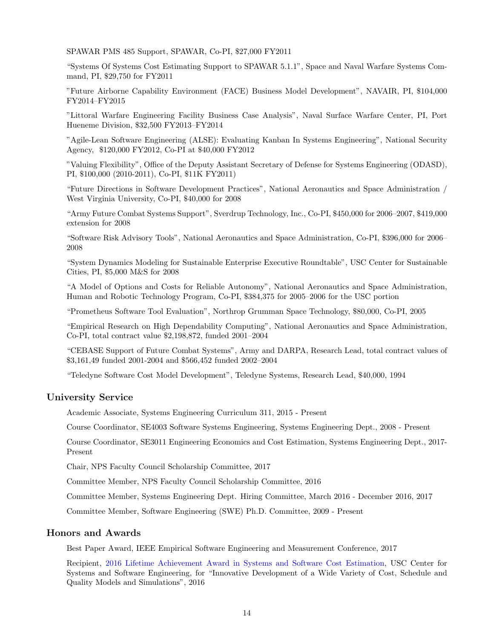SPAWAR PMS 485 Support, SPAWAR, Co-PI, \$27,000 FY2011

"Systems Of Systems Cost Estimating Support to SPAWAR 5.1.1", Space and Naval Warfare Systems Command, PI, \$29,750 for FY2011

"Future Airborne Capability Environment (FACE) Business Model Development", NAVAIR, PI, \$104,000 FY2014–FY2015

"Littoral Warfare Engineering Facility Business Case Analysis", Naval Surface Warfare Center, PI, Port Hueneme Division, \$32,500 FY2013–FY2014

"Agile-Lean Software Engineering (ALSE): Evaluating Kanban In Systems Engineering", National Security Agency, \$120,000 FY2012, Co-PI at \$40,000 FY2012

"Valuing Flexibility", Office of the Deputy Assistant Secretary of Defense for Systems Engineering (ODASD), PI, \$100,000 (2010-2011), Co-PI, \$11K FY2011)

"Future Directions in Software Development Practices", National Aeronautics and Space Administration / West Virginia University, Co-PI, \$40,000 for 2008

"Army Future Combat Systems Support", Sverdrup Technology, Inc., Co-PI, \$450,000 for 2006–2007, \$419,000 extension for 2008

"Software Risk Advisory Tools", National Aeronautics and Space Administration, Co-PI, \$396,000 for 2006– 2008

"System Dynamics Modeling for Sustainable Enterprise Executive Roundtable", USC Center for Sustainable Cities, PI, \$5,000 M&S for 2008

"A Model of Options and Costs for Reliable Autonomy", National Aeronautics and Space Administration, Human and Robotic Technology Program, Co-PI, \$384,375 for 2005–2006 for the USC portion

"Prometheus Software Tool Evaluation", Northrop Grumman Space Technology, \$80,000, Co-PI, 2005

"Empirical Research on High Dependability Computing", National Aeronautics and Space Administration, Co-PI, total contract value \$2,198,872, funded 2001–2004

"CEBASE Support of Future Combat Systems", Army and DARPA, Research Lead, total contract values of \$3,161,49 funded 2001-2004 and \$566,452 funded 2002–2004

"Teledyne Software Cost Model Development", Teledyne Systems, Research Lead, \$40,000, 1994

## University Service

Academic Associate, Systems Engineering Curriculum 311, 2015 - Present

Course Coordinator, SE4003 Software Systems Engineering, Systems Engineering Dept., 2008 - Present

Course Coordinator, SE3011 Engineering Economics and Cost Estimation, Systems Engineering Dept., 2017- Present

Chair, NPS Faculty Council Scholarship Committee, 2017

Committee Member, NPS Faculty Council Scholarship Committee, 2016

Committee Member, Systems Engineering Dept. Hiring Committee, March 2016 - December 2016, 2017

Committee Member, Software Engineering (SWE) Ph.D. Committee, 2009 - Present

### Honors and Awards

Best Paper Award, IEEE Empirical Software Engineering and Measurement Conference, 2017

Recipient, [2016 Lifetime Achievement Award in Systems and Software Cost Estimation,](http://csse.usc.edu/new/31st-cocomo-program) USC Center for Systems and Software Engineering, for "Innovative Development of a Wide Variety of Cost, Schedule and Quality Models and Simulations", 2016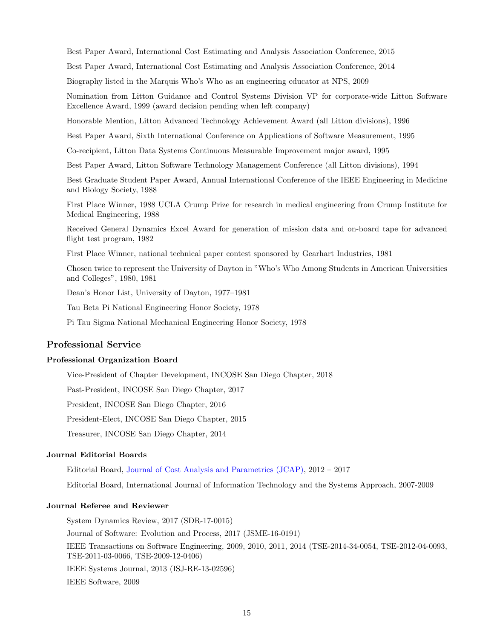Best Paper Award, International Cost Estimating and Analysis Association Conference, 2015

Best Paper Award, International Cost Estimating and Analysis Association Conference, 2014

Biography listed in the Marquis Who's Who as an engineering educator at NPS, 2009

Nomination from Litton Guidance and Control Systems Division VP for corporate-wide Litton Software Excellence Award, 1999 (award decision pending when left company)

Honorable Mention, Litton Advanced Technology Achievement Award (all Litton divisions), 1996

Best Paper Award, Sixth International Conference on Applications of Software Measurement, 1995

Co-recipient, Litton Data Systems Continuous Measurable Improvement major award, 1995

Best Paper Award, Litton Software Technology Management Conference (all Litton divisions), 1994

Best Graduate Student Paper Award, Annual International Conference of the IEEE Engineering in Medicine and Biology Society, 1988

First Place Winner, 1988 UCLA Crump Prize for research in medical engineering from Crump Institute for Medical Engineering, 1988

Received General Dynamics Excel Award for generation of mission data and on-board tape for advanced flight test program, 1982

First Place Winner, national technical paper contest sponsored by Gearhart Industries, 1981

Chosen twice to represent the University of Dayton in "Who's Who Among Students in American Universities and Colleges", 1980, 1981

Dean's Honor List, University of Dayton, 1977–1981

Tau Beta Pi National Engineering Honor Society, 1978

Pi Tau Sigma National Mechanical Engineering Honor Society, 1978

## Professional Service

### Professional Organization Board

Vice-President of Chapter Development, INCOSE San Diego Chapter, 2018

Past-President, INCOSE San Diego Chapter, 2017

President, INCOSE San Diego Chapter, 2016

President-Elect, INCOSE San Diego Chapter, 2015

Treasurer, INCOSE San Diego Chapter, 2014

#### Journal Editorial Boards

Editorial Board, [Journal of Cost Analysis and Parametrics \(JCAP\),](http://www.tandfonline.com/action/journalInformation?show=editorialBoard&journalCode=ucap20) 2012 – 2017

Editorial Board, International Journal of Information Technology and the Systems Approach, 2007-2009

### Journal Referee and Reviewer

System Dynamics Review, 2017 (SDR-17-0015) Journal of Software: Evolution and Process, 2017 (JSME-16-0191) IEEE Transactions on Software Engineering, 2009, 2010, 2011, 2014 (TSE-2014-34-0054, TSE-2012-04-0093, TSE-2011-03-0066, TSE-2009-12-0406) IEEE Systems Journal, 2013 (ISJ-RE-13-02596) IEEE Software, 2009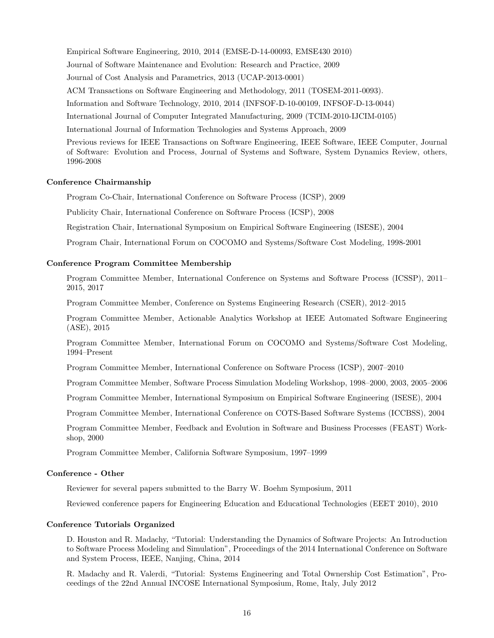Empirical Software Engineering, 2010, 2014 (EMSE-D-14-00093, EMSE430 2010) Journal of Software Maintenance and Evolution: Research and Practice, 2009 Journal of Cost Analysis and Parametrics, 2013 (UCAP-2013-0001) ACM Transactions on Software Engineering and Methodology, 2011 (TOSEM-2011-0093). Information and Software Technology, 2010, 2014 (INFSOF-D-10-00109, INFSOF-D-13-0044) International Journal of Computer Integrated Manufacturing, 2009 (TCIM-2010-IJCIM-0105) International Journal of Information Technologies and Systems Approach, 2009 Previous reviews for IEEE Transactions on Software Engineering, IEEE Software, IEEE Computer, Journal

of Software: Evolution and Process, Journal of Systems and Software, System Dynamics Review, others, 1996-2008

### Conference Chairmanship

Program Co-Chair, International Conference on Software Process (ICSP), 2009

Publicity Chair, International Conference on Software Process (ICSP), 2008

Registration Chair, International Symposium on Empirical Software Engineering (ISESE), 2004

Program Chair, International Forum on COCOMO and Systems/Software Cost Modeling, 1998-2001

### Conference Program Committee Membership

Program Committee Member, International Conference on Systems and Software Process (ICSSP), 2011– 2015, 2017

Program Committee Member, Conference on Systems Engineering Research (CSER), 2012–2015

Program Committee Member, Actionable Analytics Workshop at IEEE Automated Software Engineering (ASE), 2015

Program Committee Member, International Forum on COCOMO and Systems/Software Cost Modeling, 1994–Present

Program Committee Member, International Conference on Software Process (ICSP), 2007–2010

Program Committee Member, Software Process Simulation Modeling Workshop, 1998–2000, 2003, 2005–2006

Program Committee Member, International Symposium on Empirical Software Engineering (ISESE), 2004

Program Committee Member, International Conference on COTS-Based Software Systems (ICCBSS), 2004

Program Committee Member, Feedback and Evolution in Software and Business Processes (FEAST) Workshop, 2000

Program Committee Member, California Software Symposium, 1997–1999

### Conference - Other

Reviewer for several papers submitted to the Barry W. Boehm Symposium, 2011

Reviewed conference papers for Engineering Education and Educational Technologies (EEET 2010), 2010

#### Conference Tutorials Organized

D. Houston and R. Madachy, "Tutorial: Understanding the Dynamics of Software Projects: An Introduction to Software Process Modeling and Simulation", Proceedings of the 2014 International Conference on Software and System Process, IEEE, Nanjing, China, 2014

R. Madachy and R. Valerdi, "Tutorial: Systems Engineering and Total Ownership Cost Estimation", Proceedings of the 22nd Annual INCOSE International Symposium, Rome, Italy, July 2012